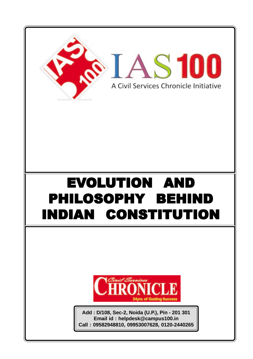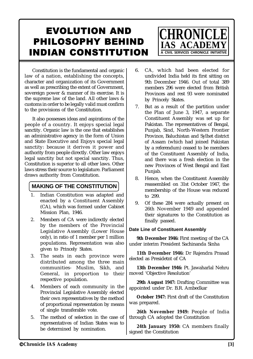# **Chronicle IAS Academy [3]**

# EVOLUTION AND PHILOSOPHY BEHIND INDIAN CONSTITUTION

Constitution is the fundamental and organic law of a nation, establishing the concepts, character and organization of its Government as well as prescribing the extent of Government, sovereign power & manner of its exercise. It is the supreme law of the land. All other laws & customs in order to be legally valid must confirm to the provisions of the Constitution.

It also possesses ideas and aspirations of the people of a country. It enjoys special legal sanctity. Organic law is the one that establishes an administrative agency in the form of Union and State Executive and Enjoys special legal sanctity: because it derives it power and authority from people directly. Other law enjoys legal sanctity but not special sanctity. Thus, Constitution is superior to all other laws. Other laws stress their source to legislature. Parliament draws authority from Constitution.

# **MAKING OF THE CONSTITUTION**

- 1. Indian Constitution was adapted and enacted by a Constituent Assembly (CA), which was formed under Cabinet Mission Plan, 1946.
- 2. Members of CA were indirectly elected by the members of the Provincial Legislative Assembly (Lower House only), in ratio of 1 member per 1 million populations. Representation was also given to Princely States.
- 3. The seats in each province were distributed among the three main communities- Muslim, Sikh, and General, in proportion to their respective population.
- 4. Members of each community in the Provincial Legislative Assembly elected their own representatives by the method of proportional representation by means of single transferable vote.
- 5. The method of selection in the case of representatives of Indian States was to be determined by nomination.

6. CA, which had been elected for undivided India held its first sitting on 9th December 1946. Out of total 389 members 296 were elected from British Provinces and rest 93 were nominated by Princely States.

**CHRONIC** 

**IAS ACADE** 

A CIVIL SERVICES CHRONICLE INITIATIVE

- 7. But as a result of the partition under the Plan of June 3, 1947, a separate Constituent Assembly was set up for Pakistan. The representatives of Bengal, Punjab, Sind, North-Western Frontier Province, Baluchistan and Sylhet district of Assam (which had joined Pakistan by a referendum) ceased to be members of the Constituent Assembly of India, and there was a fresh election in the new Provinces of West Bengal and East Punjab.
- 8. Hence, when the Constituent Assembly reassembled on 31st October 1947, the membership of the House was reduced to 299.
- 9. Of these 284 were actually present on 26th November 1949 and appended their signatures to the Constitution as finally passed.

# **Date Line of Constituent Assembly**

**9th December 1946:** First meeting of the CA under interim President Sachinanda Sinha

**11th December 1946:** Dr Rajendra Prasad elected as Presidetnt of CA

**13th December 1946:** Pt. Jawaharlal Nehru moved 'Objective Resolution'

**29th August 1947:** Drafting Committee was appointed under Dr. B.R. Ambedkar

**October 1947:** First draft of the Constitution was prepared.

**26th November 1949:** People of India through CA adopted the Constitution

**24th January 1950:** CA members finally signed the Constitution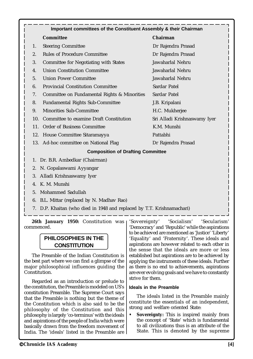|     | <b>Committee</b>                             | Chairman                     |
|-----|----------------------------------------------|------------------------------|
| 1.  | <b>Steering Committee</b>                    | Dr Rajendra Prasad           |
| 2.  | <b>Rules of Procedure Committee</b>          | Dr Rajendra Prasad           |
| 3.  | <b>Committee for Negotiating with States</b> | Jawaharlal Nehru             |
| 4.  | <b>Union Constitution Committee</b>          | Jawaharlal Nehru             |
| 5.  | <b>Union Power Committee</b>                 | Jawaharlal Nehru             |
| 6.  | <b>Provincial Constitution Committee</b>     | Sardar Patel                 |
| 7.  | Committee on Fundamental Rights & Minorities | Sardar Patel                 |
| 8.  | <b>Fundamental Rights Sub-Committee</b>      | J.B. Kripalani               |
| 9.  | <b>Minorities Sub-Committee</b>              | H.C. Mukherjee               |
| 10. | Committee to examine Draft Constitution      | Sri Alladi Krishnaswamy Iyer |
| 11. | <b>Order of Business Committee</b>           | K.M. Munshi                  |
|     | 12. House Committee Sitaramayya              | Pattabhi                     |
|     | 13. Ad-hoc committee on National Flag        | Dr Rajendra Prasad           |
|     | <b>Composition of Drafting Committee</b>     |                              |
|     | 1. Dr. B.R. Ambedkar (Chairman)              |                              |
|     | 2. N. Gopalaswami Ayyangar                   |                              |
| 3.  | Alladi Krishnaswamy Iyer                     |                              |

- 4. K. M. Munshi
- 5. Mohammed Sadullah
- 6. B.L. Mittar (replaced by N. Madhav Rao)
- 7. D.P. Khaitan (who died in 1948 and replaced by T.T. Krishnamachari)

26th January 1950: Constitution was commenced.

# **PHILOSOPHIES IN THE CONSTITUTION**

The Preamble of the Indian Constitution is the best part where we can find a glimpse of the major philosophical influences guiding the Constitution.

Regarded as an introduction or prelude to the constitution, the Preamble is modeled on US's constitution Preamble. The Supreme Court says that the Preamble is nothing but the theme of the Constitution which is also said to be the philosophy of the Constitution and this philosophy is largely 'co-terminus' with the ideals and aspirations of the people of India which were basically drawn from the freedom movement of India. The 'ideals' listed in the Preamble are

'Sovereignty' 'Socialism' 'Secularism' 'Democracy' and 'Republic' while the aspirations to be achieved are mentioned as 'Justice' 'Liberty' 'Equality' and 'Fraternity'. These ideals and aspirations are however related to each other in the sense that the ideals are more or less established but aspirations are to be achieved by applying the instruments of these ideals. Further as there is no end to achievements, aspirations are ever evolving goals and we have to constantly strive for them.

## **Ideals in the Preamble**

The ideals listed in the Preamble mainly constitute the essentials of an independent, strong and welfare oriented State:

**• Sovereignty:** This is inspired mainly from the concept of 'State' which is fundamental to all civilizations thus is an attribute of the State. This is denoted by the supreme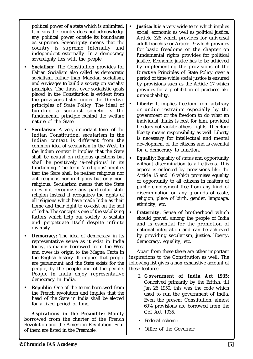political power of a state which is unlimited. It means the country does not acknowledge any political power outside its boundaries as supreme. Sovereignty means that the country is supreme internally and independent externally. In a democracy sovereignty lies with the people.

- **Socialism:** The Constitution provides for Fabian Socialism also called as democratic socialism, rather than Marxian socialism, and envisages to build a society on socialist principles. The thrust over socialistic goals placed in the Constitution is evident from the provisions listed under the Directive principles of State Policy. The ideal of building a socialist society is the fundamental principle behind the welfare nature of the State.
- **Secularism:** A very important tenet of the Indian Constitution, secularism in the Indian context is different from the common idea of secularism in the West. In the Indian context it implies that the State shall be neutral on religious questions but shall be positively 'a-religious' in its functioning. The term 'a-religious' implies that the State shall be neither religious nor anti-religious nor irreligious but only nonreligious. Secularism means that the State does not recognize any particular state religion instead it recognizes the rights of all religions which have made India as their home and their right to co-exist on the soil of India. The concept is one of the stabilizing factors which help our society to sustain and perpetuate itself despite infinite diversity.
- **Democracy:** The idea of democracy in its representative sense as it exist in India today, is mainly borrowed from the West and owes its origin to the Magna Carta in the English history. It implies that people are paramount and the State exists for the people, by the people and of the people. People in India enjoy representative democracy in India.
- **Republic:** One of the terms borrowed from the French revolution and implies that the head of the State in India shall be elected for a fixed period of time.

**Aspirations in the Preamble:** Mainly borrowed from the charter of the French Revolution and the American Revolution. Four of them are listed in the Preamble.

- **Justice:** It is a very wide term which implies social, economic as well as political justice. Article 326 which provides for universal adult franchise or Article 19 which provides for basic freedoms or the chapter on fundamental rights provides for political justice. Economic justice has to be achieved by implementing the provisions of the Directive Principles of State Policy over a period of time while social justice is ensured by provisions such as the Article 17 which provides for a prohibition of practices like untouchability.
- **Liberty:** It implies freedom from arbitrary or undue restraints especially by the government or the freedom to do what an individual thinks is best for him, provided he does not violate others' rights. Therefore liberty means responsibility as well. Liberty is necessary for intellectual and mental development of the citizens and is essential for a democracy to function.
- **Equality:** Equality of status and opportunity without discrimination to all citizens. This aspect is enforced by provisions like the Article 15 and 16 which promises equality of opportunity to all citizens in matters of public employment free from any kind of discrimination on any grounds of caste, religion, place of birth, gender, language, ethnicity, etc.
- **Fraternity:** Sense of brotherhood which should prevail among the people of India and is essential for the promotion of national integration and can be achieved by providing secularism, justice, liberty, democracy, equality, etc.

Apart from these there are other important inspirations to the Constitution as well. The following list gives a non exhaustive account of these features:

- **I. Government of India Act 1935:** Conceived primarily by the British, till Jan 26 1950, this was the code which used to run the government of India. Even the present Constitution, almost 60% provisions are borrowed from the GoI Act 1935.
- Federal scheme
- Office of the Governor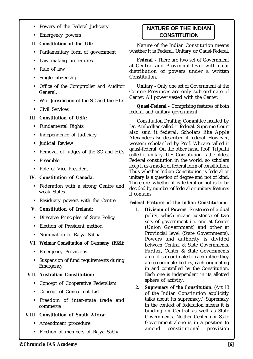- Powers of the Federal Judiciary
- Emergency powers
- **II. Constitution of the UK:**
- Parliamentary form of government
- Law making procedures
- Rule of law
- Single citizenship
- Office of the Comptroller and Auditor General.
- Writ Jurisdiction of the SC and the HCs
- Civil Services

#### **III. Constitution of USA:**

- Fundamental Rights
- Independence of Judiciary
- Judicial Review
- Removal of Judges of the SC and HCs
- Preamble
- Role of Vice President

### **IV. Constitution of Canada:**

- Federation with a strong Centre and weak States
- Residuary powers with the Centre

#### **V. Constitution of Ireland:**

- Directive Principles of State Policy
- Election of President method
- Nomination to Rajya Sabha

#### **VI. Weimar Constitution of Germany (1921):**

- Emergency Provisions
- Suspension of fund requirements during Emergency

## **VII. Australian Constitution:**

- Concept of Cooperative Federalism
- Concept of Concurrent List
- Freedom of inter-state trade and commerce

## **VIII. Constitution of South Africa:**

- Amendment procedure
- Election of members of Rajya Sabha.

# **NATURE OF THE INDIAN CONSTITUTION**

Nature of the Indian Constitution means whether it is Federal, Unitary or Qausi-Federal.

**Federal -** There are two set of Government at Central and Provincial level with clear distribution of powers under a written Constitution.

**Unitary -** Only one set of Government at the Center; Provinces are only sub-ordinate of Center. All power vested with the Center.

**Quasi-Federal –** Comprising features of both federal and unitary government;

Constitution Drafting Committee headed by Dr. Ambedkar called it federal. Supreme Court also said it federal. Scholars like Apple Alexander also described it federal. However, western scholar led by Prof. Wheare called it qausi-federal. On the other hand Prof. Tripathi called it unitary. U.S. Constitution is the oldest Federal constitution in the world, so scholars keep it as a model of federal form of constitution. Thus whether Indian Constitution is federal or unitary is a question of degree and not of kind. Therefore, whether it is federal or not is to be decided by number of federal or unitary features it contains.

#### *Federal Features of the Indian Constitution:*

- 1. **Division of Powers:** Existence of a dual polity, which means existence of two sets of government i.e. one at Center (Union Government) and other at Provincial level (State Governments). Powers and authority is divided between Central & State Governments. Further, Center & State Governments are not sub-ordinate to each rather they are co-ordinate bodies, each originating in and controlled by the Constitution. Each one is independent in its allotted sphere of activity.
- 2. **Supremacy of the Constitution:** (Art 13 of the Indian Constitution explicitly talks about its supremacy.) Supremacy in the context of federation means it is binding on Central as well as State Governments. Neither Center nor State Government alone is in a position to amend constitutional provision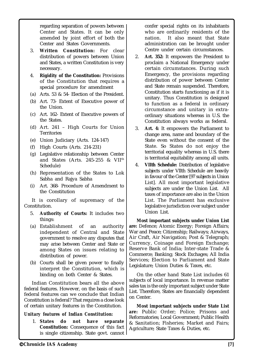regarding separation of powers between Center and States. It can be only amended by joint effort of both the Center and States Governments.

- 3. **Written Constitution:** For clear distribution of powers between Union and States, a written Constitution is very necessary.
- 4. **Rigidity of the Constitution:** Provisions of the Constitution that requires a special procedure for amendment
- (a) Arts. 53 & 54- Election of the President.
- (b) Art. 73- Extent of Executive power of the Union.
- (c) Art. 162- Extent of Executive powers of the States.
- (d) Art. 241 High Courts for Union **Territories**
- (e) Union Judiciary (Arts. 124-147)
- (f) High Courts (Arts. 214-231)
- (g) Legislative relationship between Center and States (Arts. 245-255 & VII<sup>th</sup> Schedule)
- (h) Representation of the States to Lok Sabha and Rajya Sabha
- (i) Art. 368- Procedure of Amendment to the Constitution

It is corollary of supremacy of the Constitution.

- 5. **Authority of Courts:** It includes two things:
- (a) Establishment of an authority independent of Central and State government to resolve any disputes that may arise between Center and State or among States on issues relating to distribution of power.
- (b) Courts shall be given power to finally interpret the Constitution, which is binding on both Center & States.

Indian Constitution bears all the above federal features. However, on the basis of such federal features can we conclude that Indian Constitution is federal? That requires a close look of certain unitary features in the Constitution.

## *Unitary features of Indian Constitution:*

 1. **States do not have separate Constitution:** Consequence of this fact is single citizenship. State govt. cannot

confer special rights on its inhabitants who are ordinarily residents of the nation. It also meant that State administration can be brought under Centre under certain circumstances.

- 2. **Art. 352:** It empowers the President to proclaim a National Emergency under certain circumstances. During such Emergency, the provisions regarding distribution of power between Center and State remain suspended. Therefore, Constitution starts functioning as if it is unitary. Thus Constitution is designed to function as a federal in ordinary circumstance and unitary in extraordinary situations whereas in U.S. the Constitution always works as federal.
- 3. **Art. 4:** It empowers the Parliament to change area, name and boundary of the State even without the consent of the State. So States do not enjoy the territorial equality whereas in U.S. there is territorial equitability among all units.
- 4. **VIIth Schedule:** Distribution of legislative subjects under VIIth Schedule are heavily in favour of the Center [97 subjects in Union List]. All most important legislative subjects are under the Union List. All taxes of importance are also in the Union List. The Parliament has exclusive legislative jurisdiction over subject under Union List.

**Most important subjects under Union List are:** Defence; Atomic Energy; Foreign Affairs; War and Peace; Citizenship; Railways; Airways, Air Craft, Air Navigation; Post & Telegraph; Currency, Coinage and Foreign Exchange; Reserve Bank of India; Inter-state Trade & Commerce; Banking; Stock Exchages; All India Services; Election to Parliament and State Legislature; Union Duties & Taxes, etc.

On the other hand State List includes 61 subjects of local importance. In revenue matter sales tax is the only important subject under State List. Therefore, States are financially dependent on Center.

**Most important subjects under State List are:** Public Order; Police; Prisons and Reformatories; Local Government; Public Health & Sanitation; Fisheries; Market and Fairs; Agriculture; State Taxes & Duties, etc.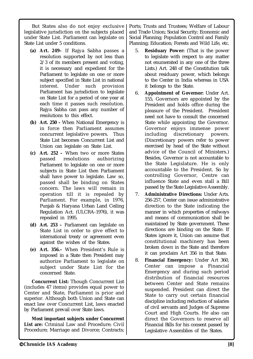But States also do not enjoy exclusive legislative jurisdiction on the subjects placed under State List. Parliament can legislate on State List under 5 conditions.

- **(a) Art. 249–** If Rajya Sabha passes a resolution supported by not less than 2/3 of its members present and voting, it is necessary and expedient for the Parliament to legislate on one or more subject specified in State List in national interest. Under such provision Parliament has jurisdiction to legislate on State List for a period of one year at each time it passes such resolution. Rajya Sabha can pass any number of resolutions to this effect.
- **(b) Art. 250 -** When National Emergency is in force then Parliament assumes concurrent legislative powers. Thus State List becomes Concurrent List and Union can legislate on State List.
- **(c) Art. 252 –** When two or more States passed resolutions authorizing Parliament to legislate on one or more subjects in State List then Parliament shall have power to legislate. Law so, passed shall be binding on States concern. The laws will remain in operation till it is repealed by Parliament. For example, in 1976, Punjab & Haryana Urban Land Ceiling Regulation Act. (ULCRA-1976), it was repealed in 1995.
- **(d) Art. 253 –** Parliament can legislate on State List in order to give effect to international treaty or agreement even against the wishes of the States.
- **(e) Art. 356.–** When President's Rule is imposed in a State then President may authorize Parliament to legislate on subject under State List for the concerned State.

**Concurrent List:** Though Concurrent List (includes 47 items) provides equal power to Center and State, Parliament is prior and superior. Although both Union and State can enact law over Concurrent List, laws enacted by Parliament prevail over State laws.

**Most important subjects under Concurrent List are:** Criminal Law and Procedure; Civil Procedure; Marriage and Divorce; Contracts; Ports; Trusts and Trustees; Welfare of Labour and Trade Union; Social Security; Economic and Social Planning; Population Control and Family Planning; Education; Forests and Wild Life, etc.

- 5. **Residuary Power:** (That is the power to legislate with respect to any matter not enumerated in any one of the three Lists.) Art. 248 of the Constitution talk about residuary power, which belongs to the Center in India whereas in USA it belongs to the State.
- 6. **Appointment of Governor:** Under Art. 155, Governors are appointed by the President and holds office during the pleasure of the President. President need not have to consult the concerned State while appointing the Governor. Governor enjoys immense power including discretionary powers. (Discretionary powers refer to power exercised by head of the State without advice of the Council of Ministers.) Besides, Governor is not accountable to the State Legislature. He is only accountable to the President. So by controlling Governor, Centre can influence State and even stall a Bill passed by the State Legislative Assembly.
- 7. **Administrative Directions:** Under Arts. 256-257, Center can issue administrative direction to the State indicating the manner in which properties of railways and means of communication shall be maintained by State government. These directions are binding on the State. If States ignore it, Union can assume that constitutional machinery has been broken down in the State and therefore it can proclaim Art 356 in that State.
- 8. **Financial Emergency:** Under Art 360, Center can impose a Financial Emergency and during such period distribution of financial resources between Center and State remains suspended. President can direct the State to carry out certain financial discipline including reduction of salaries of civil servants and Judges of Supreme Court and High Courts. He also can direct the Governors to reserve all Financial Bills for his consent passed by Legislative Assemblies of the States.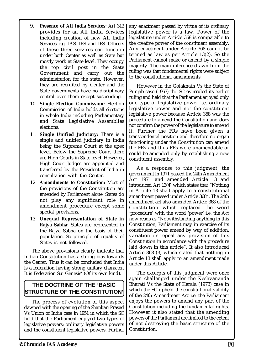- 9. **Presence of All India Services:** Art 312 provides for an All India Services including creation of new All India Services e.g. IAS, IPS and IFS. Officers of these three services can function under both Center as well as State but mostly work at State level. They occupy the top civil post in the State Government and carry out the administration for the state. However, they are recruited by Center and the State governments have no disciplinary control over them except suspending.
- 10. **Single Election Commission:** Election Commission of India holds all elections in whole India including Parliamentary and State Legislative Assemblies elections.
- 11. **Single Unified Judiciary:** There is a single and unified judiciary in India being the Supreme Court at the apex level. Below the Supreme Court there are High Courts in State level. However, High Court Judges are appointed and transferred by the President of India in consultation with the Center.
- 12. **Amendments to Constitution:** Most of the provisions of the Constitution are amended by Parliament alone. States do not play any significant role in amendment procedure except some special provisions.
- 13. **Unequal Representation of State in Rajya Sabha:** States are represented in the Rajya Sabha on the basis of their population. So principle of equality of States is not followed.

The above provisions clearly indicate that Indian Constitution has a strong bias towards the Center. Thus it can be concluded that India is a federation having strong unitary character. It is Federation Sui Genesis' (Of its own kind).

# **THE DOCTRINE OF THE 'BASIC STRUCTURE OF THE CONSTITUTION'**

The process of evolution of this aspect dawned with the opening of the Shankari Prasad Vs Union of India case in 1951 in which the SC held that the Parliament enjoyed two types of legislative powers: ordinary legislative powers and the constituent legislative powers. Further any enactment passed by virtue of its ordinary legislative power is a law. Power of the legislature under Article 368 is comparable to the creative power of the constituent assembly. Any enactment under Article 368 cannot be termed as law as per Article 13(2). So the Parliament cannot make or amend by a simple majority. The main inference drawn from the ruling was that fundamental rights were subject to the constitutional amendments.

However in the Golaknath Vs the State of Punjab case (1967) the SC overruled its earlier ruling and held that the Parliament enjoyed only one type of legislative power i.e. ordinary legislative power and not the constituent legislative power because Article 368 was the procedure to amend the Constitution and does not confirm the power of the legislature to amend it. Further the FRs have been given a transcendental position and therefore no organ functioning under the Constitution can amend the FRs and thus FRs were unamendable or could be amended only by establishing a new constituent assembly.

As a response to this judgment, the government in 1971 passed the 24th Amendment Act 1971 and amended Article 13 and introduced Art 13(4) which states that "Nothing in Article 13 shall apply to a constitutional amendment passed under Article 368". The 24th amendment act also amended Article 368 of the Constitution which replaced the word 'procedure' with the word 'power' i.e. the Act now reads as "Notwithstanding anything in this Constitution, Parliament may in exercise of its constituent power amend by way of addition, variation or repeal any provision of this Constitution in accordance with the procedure laid down in this article". It also introduced Article 368 (3) which stated that nothing in Article 13 shall apply to an amendment made under this Article.

The excerpts of this judgment were once again challenged under the Keshvananda Bharati Vs the State of Kerala (1973) case in which the SC upheld the constitutional validity of the 24th Amendment Act i.e. the Parliament enjoys the powers to amend any part of the Constitution including the fundamental rights. However it also stated that the amending powers of the Parliament are limited to the extent of not destroying the basic structure of the Constitution.